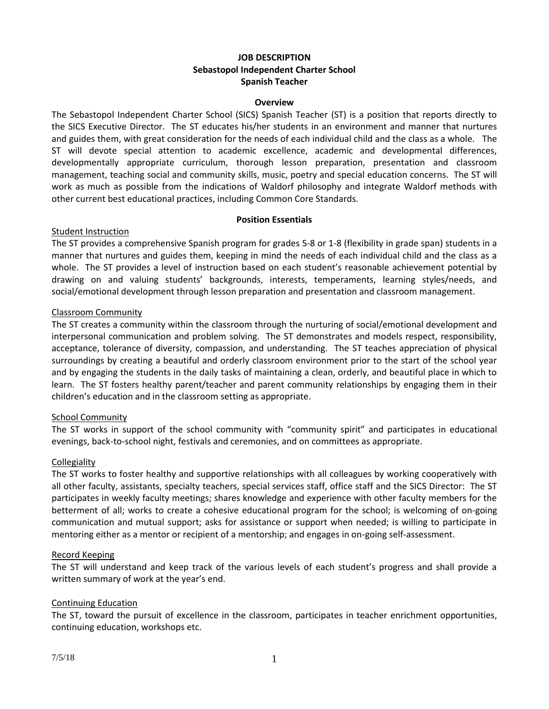# **JOB DESCRIPTION Sebastopol Independent Charter School Spanish Teacher**

#### **Overview**

The Sebastopol Independent Charter School (SICS) Spanish Teacher (ST) is a position that reports directly to the SICS Executive Director. The ST educates his/her students in an environment and manner that nurtures and guides them, with great consideration for the needs of each individual child and the class as a whole. The ST will devote special attention to academic excellence, academic and developmental differences, developmentally appropriate curriculum, thorough lesson preparation, presentation and classroom management, teaching social and community skills, music, poetry and special education concerns. The ST will work as much as possible from the indications of Waldorf philosophy and integrate Waldorf methods with other current best educational practices, including Common Core Standards.

#### **Position Essentials**

### Student Instruction

The ST provides a comprehensive Spanish program for grades 5-8 or 1-8 (flexibility in grade span) students in a manner that nurtures and guides them, keeping in mind the needs of each individual child and the class as a whole. The ST provides a level of instruction based on each student's reasonable achievement potential by drawing on and valuing students' backgrounds, interests, temperaments, learning styles/needs, and social/emotional development through lesson preparation and presentation and classroom management.

### Classroom Community

The ST creates a community within the classroom through the nurturing of social/emotional development and interpersonal communication and problem solving. The ST demonstrates and models respect, responsibility, acceptance, tolerance of diversity, compassion, and understanding. The ST teaches appreciation of physical surroundings by creating a beautiful and orderly classroom environment prior to the start of the school year and by engaging the students in the daily tasks of maintaining a clean, orderly, and beautiful place in which to learn. The ST fosters healthy parent/teacher and parent community relationships by engaging them in their children's education and in the classroom setting as appropriate.

#### School Community

The ST works in support of the school community with "community spirit" and participates in educational evenings, back-to-school night, festivals and ceremonies, and on committees as appropriate.

#### **Collegiality**

The ST works to foster healthy and supportive relationships with all colleagues by working cooperatively with all other faculty, assistants, specialty teachers, special services staff, office staff and the SICS Director: The ST participates in weekly faculty meetings; shares knowledge and experience with other faculty members for the betterment of all; works to create a cohesive educational program for the school; is welcoming of on-going communication and mutual support; asks for assistance or support when needed; is willing to participate in mentoring either as a mentor or recipient of a mentorship; and engages in on-going self-assessment.

#### Record Keeping

The ST will understand and keep track of the various levels of each student's progress and shall provide a written summary of work at the year's end.

## Continuing Education

The ST, toward the pursuit of excellence in the classroom, participates in teacher enrichment opportunities, continuing education, workshops etc.